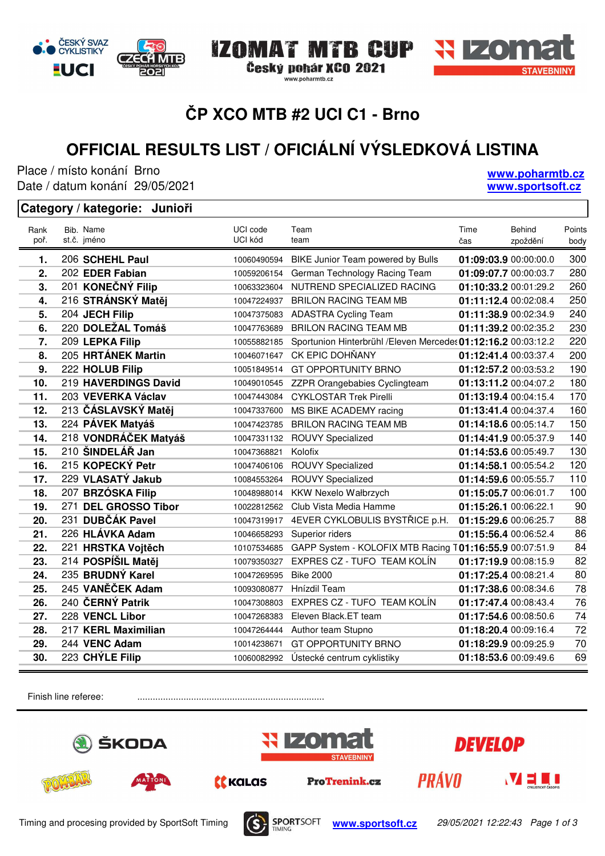# **ČP XCO MTB #2 UCI C1 - Brno**

IZOMAT MTB CUP

www.poharmtb.cz

Český pohár XCO 2021

# **OFFICIAL RESULTS LIST / OFICIÁLNÍ VÝSLEDKOVÁ LISTINA**

Place / místo konání Brno Date / datum konání: 29/05/2021

G

ČESKÝ SVAZ

**CYKLISTIKY** 

**EUCI** 

#### **Category / kategorie: Junioři**

| Rank<br>poř. | Bib. Name<br>st.č. jméno | UCI code<br>UCI kód | Team<br>team                                                   | Time<br>čas           | <b>Behind</b><br>zpoždění | Points<br>body |
|--------------|--------------------------|---------------------|----------------------------------------------------------------|-----------------------|---------------------------|----------------|
| 1.           | 206 SCHEHL Paul          | 10060490594         | BIKE Junior Team powered by Bulls                              | 01:09:03.9 00:00:00.0 |                           | 300            |
| 2.           | 202 EDER Fabian          | 10059206154         | German Technology Racing Team                                  | 01:09:07.7 00:00:03.7 |                           | 280            |
| 3.           | 201 KONEČNÝ Filip        | 10063323604         | NUTREND SPECIALIZED RACING                                     | 01:10:33.2 00:01:29.2 |                           | 260            |
| 4.           | 216 STRÁNSKÝ Matěj       | 10047224937         | <b>BRILON RACING TEAM MB</b>                                   | 01:11:12.4 00:02:08.4 |                           | 250            |
| 5.           | 204 JECH Filip           | 10047375083         | <b>ADASTRA Cycling Team</b>                                    | 01:11:38.9 00:02:34.9 |                           | 240            |
| 6.           | 220 DOLEŽAL Tomáš        | 10047763689         | <b>BRILON RACING TEAM MB</b>                                   | 01:11:39.2 00:02:35.2 |                           | 230            |
| 7.           | 209 LEPKA Filip          | 10055882185         | Sportunion Hinterbrühl / Eleven Mercedes 01:12:16.2 00:03:12.2 |                       |                           | 220            |
| 8.           | 205 HRTÁNEK Martin       | 10046071647         | CK EPIC DOHŇANY                                                | 01:12:41.4 00:03:37.4 |                           | 200            |
| 9.           | 222 HOLUB Filip          | 10051849514         | <b>GT OPPORTUNITY BRNO</b>                                     | 01:12:57.2 00:03:53.2 |                           | 190            |
| 10.          | 219 HAVERDINGS David     | 10049010545         | ZZPR Orangebabies Cyclingteam                                  | 01:13:11.2 00:04:07.2 |                           | 180            |
| 11.          | 203 VEVERKA Václav       | 10047443084         | <b>CYKLOSTAR Trek Pirelli</b>                                  | 01:13:19.4 00:04:15.4 |                           | 170            |
| 12.          | 213 ČÁSLAVSKÝ Matěj      | 10047337600         | MS BIKE ACADEMY racing                                         | 01:13:41.4 00:04:37.4 |                           | 160            |
| 13.          | 224 PÁVEK Matyáš         | 10047423785         | <b>BRILON RACING TEAM MB</b>                                   | 01:14:18.6 00:05:14.7 |                           | 150            |
| 14.          | 218 VONDRÁČEK Matyáš     | 10047331132         | <b>ROUVY Specialized</b>                                       | 01:14:41.9 00:05:37.9 |                           | 140            |
| 15.          | 210 ŠINDELÁŘ Jan         | 10047368821         | Kolofix                                                        | 01:14:53.6 00:05:49.7 |                           | 130            |
| 16.          | 215 KOPECKÝ Petr         | 10047406106         | <b>ROUVY Specialized</b>                                       | 01:14:58.1 00:05:54.2 |                           | 120            |
| 17.          | 229 VLASATÝ Jakub        | 10084553264         | <b>ROUVY Specialized</b>                                       | 01:14:59.6 00:05:55.7 |                           | 110            |
| 18.          | 207 BRZÓSKA Filip        | 10048988014         | KKW Nexelo Wałbrzych                                           | 01:15:05.7 00:06:01.7 |                           | 100            |
| 19.          | 271 DEL GROSSO Tibor     | 10022812562         | Club Vista Media Hamme                                         | 01:15:26.1 00:06:22.1 |                           | 90             |
| 20.          | 231 DUBČÁK Pavel         | 10047319917         | 4EVER CYKLOBULIS BYSTŘICE p.H.                                 | 01:15:29.6 00:06:25.7 |                           | 88             |
| 21.          | 226 HLÁVKA Adam          | 10046658293         | Superior riders                                                | 01:15:56.4 00:06:52.4 |                           | 86             |
| 22.          | 221 HRSTKA Vojtěch       | 10107534685         | GAPP System - KOLOFIX MTB Racing T01:16:55.9 00:07:51.9        |                       |                           | 84             |
| 23.          | 214 POSPÍŠIL Matěj       | 10079350327         | EXPRES CZ - TUFO TEAM KOLÍN                                    | 01:17:19.9 00:08:15.9 |                           | 82             |
| 24.          | 235 BRUDNÝ Karel         | 10047269595         | <b>Bike 2000</b>                                               | 01:17:25.4 00:08:21.4 |                           | 80             |
| 25.          | 245 VANĚČEK Adam         | 10093080877         | Hnízdil Team                                                   | 01:17:38.6 00:08:34.6 |                           | 78             |
| 26.          | 240 ČERNÝ Patrik         | 10047308803         | EXPRES CZ - TUFO TEAM KOLÍN                                    | 01:17:47.4 00:08:43.4 |                           | 76             |
| 27.          | 228 VENCL Libor          | 10047268383         | Eleven Black.ET team                                           | 01:17:54.6 00:08:50.6 |                           | 74             |
| 28.          | 217 KERL Maximilian      | 10047264444         | Author team Stupno                                             | 01:18:20.4 00:09:16.4 |                           | 72             |
| 29.          | 244 VENC Adam            | 10014238671         | <b>GT OPPORTUNITY BRNO</b>                                     | 01:18:29.9 00:09:25.9 |                           | 70             |
| 30.          | 223 CHÝLE Filip          | 10060082992         | Ústecké centrum cyklistiky                                     | 01:18:53.6 00:09:49.6 |                           | 69             |
|              |                          |                     |                                                                |                       |                           |                |

Finish line referee: .......................................................................................







**www.poharmtb.cz www.sportsoft.cz**

**MTR**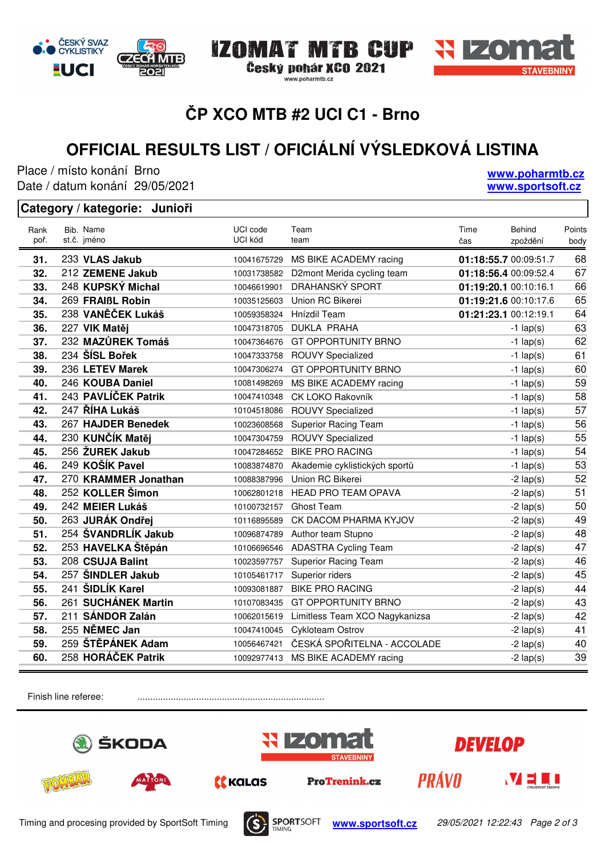# **ČP XCO MTB #2 UCI C1 - Brno**

IZOMAT MTB CUP

www.poharmtb.cz

Český pohár XCO 2021

# **OFFICIAL RESULTS LIST / OFICIÁLNÍ VÝSLEDKOVÁ LISTINA**

Place / místo konání Brno Date / datum konání: 29/05/2021

#### **Category / kategorie: Junioři**

| Rank<br>poř. | Bib. Name<br>st.č. jméno | UCI code<br>UCI kód | Team<br>team                   | Time<br>čas           | <b>Behind</b><br>zpoždění | Points<br>body |
|--------------|--------------------------|---------------------|--------------------------------|-----------------------|---------------------------|----------------|
| 31.          | 233 VLAS Jakub           | 10041675729         | MS BIKE ACADEMY racing         | 01:18:55.7 00:09:51.7 |                           | 68             |
| 32.          | 212 ZEMENE Jakub         | 10031738582         | D2mont Merida cycling team     | 01:18:56.4 00:09:52.4 |                           | 67             |
| 33.          | 248 KUPSKÝ Michal        | 10046619901         | DRAHANSKÝ SPORT                | 01:19:20.1 00:10:16.1 |                           | 66             |
| 34.          | 269 FRAIBL Robin         | 10035125603         | Union RC Bikerei               | 01:19:21.6 00:10:17.6 |                           | 65             |
| 35.          | 238 VANĚČEK Lukáš        | 10059358324         | Hnízdil Team                   | 01:21:23.1 00:12:19.1 |                           | 64             |
| 36.          | 227 VIK Matěj            | 10047318705         | <b>DUKLA PRAHA</b>             |                       | $-1$ lap(s)               | 63             |
| 37.          | 232 MAZŮREK Tomáš        | 10047364676         | <b>GT OPPORTUNITY BRNO</b>     |                       | $-1$ lap(s)               | 62             |
| 38.          | 234 ŠÍSL Bořek           | 10047333758         | <b>ROUVY Specialized</b>       |                       | $-1$ lap(s)               | 61             |
| 39.          | 236 LETEV Marek          | 10047306274         | <b>GT OPPORTUNITY BRNO</b>     |                       | $-1$ lap(s)               | 60             |
| 40.          | 246 KOUBA Daniel         | 10081498269         | MS BIKE ACADEMY racing         |                       | $-1$ lap(s)               | 59             |
| 41.          | 243 PAVLÍČEK Patrik      | 10047410348         | CK LOKO Rakovník               |                       | $-1$ lap(s)               | 58             |
| 42.          | 247 ŘÍHA Lukáš           | 10104518086         | <b>ROUVY Specialized</b>       |                       | $-1$ lap(s)               | 57             |
| 43.          | 267 HAJDER Benedek       | 10023608568         | <b>Superior Racing Team</b>    |                       | $-1$ lap(s)               | 56             |
| 44.          | 230 KUNČÍK Matěj         | 10047304759         | <b>ROUVY Specialized</b>       |                       | $-1$ lap(s)               | 55             |
| 45.          | 256 ŽUREK Jakub          | 10047284652         | <b>BIKE PRO RACING</b>         |                       | $-1$ lap(s)               | 54             |
| 46.          | 249 KOŠÍK Pavel          | 10083874870         | Akademie cyklistických sportů  |                       | $-1$ lap(s)               | 53             |
| 47.          | 270 KRAMMER Jonathan     | 10088387996         | Union RC Bikerei               |                       | $-2$ lap(s)               | 52             |
| 48.          | 252 KOLLER Šimon         | 10062801218         | <b>HEAD PRO TEAM OPAVA</b>     |                       | $-2$ lap(s)               | 51             |
| 49.          | 242 MEIER Lukáš          | 10100732157         | Ghost Team                     |                       | $-2$ lap(s)               | 50             |
| 50.          | 263 JURÁK Ondřej         | 10116895589         | CK DACOM PHARMA KYJOV          |                       | $-2$ lap(s)               | 49             |
| 51.          | 254 ŠVANDRLÍK Jakub      | 10096874789         | Author team Stupno             |                       | $-2$ lap(s)               | 48             |
| 52.          | 253 HAVELKA Štěpán       | 10106696546         | <b>ADASTRA Cycling Team</b>    |                       | $-2$ lap(s)               | 47             |
| 53.          | 208 CSUJA Balint         | 10023597757         | <b>Superior Racing Team</b>    |                       | $-2$ lap(s)               | 46             |
| 54.          | 257 ŠINDLER Jakub        | 10105461717         | Superior riders                |                       | $-2$ lap(s)               | 45             |
| 55.          | 241 ŠIDLÍK Karel         | 10093081887         | <b>BIKE PRO RACING</b>         |                       | $-2$ lap(s)               | 44             |
| 56.          | 261 SUCHÁNEK Martin      | 10107083435         | <b>GT OPPORTUNITY BRNO</b>     |                       | $-2$ lap(s)               | 43             |
| 57.          | 211 SÁNDOR Zalán         | 10062015619         | Limitless Team XCO Nagykanizsa |                       | $-2$ lap(s)               | 42             |
| 58.          | 255 NĚMEC Jan            | 10047410045         | Cykloteam Ostrov               |                       | $-2$ lap(s)               | 41             |
| 59.          | 259 ŠTĚPÁNEK Adam        | 10056467421         | ČESKÁ SPOŘITELNA - ACCOLADE    |                       | $-2$ lap(s)               | 40             |
| 60.          | 258 HORÁČEK Patrik       | 10092977413         | MS BIKE ACADEMY racing         |                       | $-2$ lap(s)               | 39             |

Finish line referee: .......................................................................................







**www.poharmtb.cz www.sportsoft.cz**

ČESKÝ SVAZ **CYKLISTIKY** G **MTR EUCI**